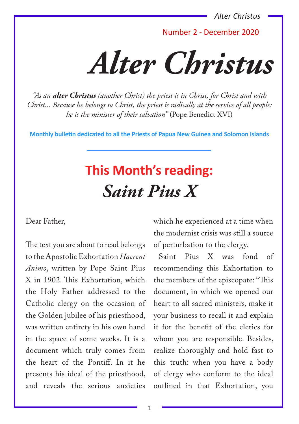Number 2 - December 2020

*Alter Christus*

*"As an alter Christus (another Christ) the priest is in Christ, for Christ and with Christ... Because he belongs to Christ, the priest is radically at the service of all people: he is the minister of their salvation"* (Pope Benedict XVI)

**Monthly bulletin dedicated to all the Priests of Papua New Guinea and Solomon Islands**

# **This Month's reading:** *Saint Pius X*

# Dear Father,

The text you are about to read belongs to the Apostolic Exhortation *Haerent Animo*, written by Pope Saint Pius X in 1902. This Exhortation, which the Holy Father addressed to the Catholic clergy on the occasion of the Golden jubilee of his priesthood, was written entirety in his own hand in the space of some weeks. It is a document which truly comes from the heart of the Pontiff. In it he presents his ideal of the priesthood, and reveals the serious anxieties which he experienced at a time when the modernist crisis was still a source of perturbation to the clergy.

Saint Pius X was fond of recommending this Exhortation to the members of the episcopate: "This document, in which we opened our heart to all sacred ministers, make it your business to recall it and explain it for the benefit of the clerics for whom you are responsible. Besides, realize thoroughly and hold fast to this truth: when you have a body of clergy who conform to the ideal outlined in that Exhortation, you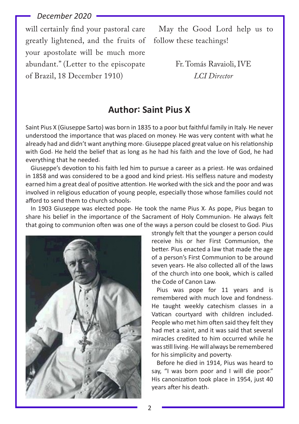will certainly find your pastoral care greatly lightened, and the fruits of follow these teachings! your apostolate will be much more abundant." (Letter to the episcopate of Brazil, 18 December 1910)

May the Good Lord help us to

Fr. Tomás Ravaioli, IVE *LCI Director*

# **Author: Saint Pius X**

Saint Pius X (Giuseppe Sarto) was born in 1835 to a poor but faithful family in Italy. He never understood the importance that was placed on money. He was very content with what he already had and didn't want anything more. Giuseppe placed great value on his relationship with God. He held the belief that as long as he had his faith and the love of God, he had everything that he needed.

Giuseppe's devotion to his faith led him to pursue a career as a priest. He was ordained in 1858 and was considered to be a good and kind priest. His selfless nature and modesty earned him a great deal of positive attention. He worked with the sick and the poor and was involved in religious education of young people, especially those whose families could not afford to send them to church schools.

In 1903 Giuseppe was elected pope. He took the name Pius X. As pope, Pius began to share his belief in the importance of the Sacrament of Holy Communion. He always felt that going to communion often was one of the ways a person could be closest to God. Pius



strongly felt that the younger a person could receive his or her First Communion, the better. Pius enacted a law that made the age of a person's First Communion to be around seven years. He also collected all of the laws of the church into one book, which is called the Code of Canon Law.

Pius was pope for 11 years and is remembered with much love and fondness. He taught weekly catechism classes in a Vatican courtyard with children included. People who met him often said they felt they had met a saint, and it was said that several miracles credited to him occurred while he was still living. He will always be remembered for his simplicity and poverty.

Before he died in 1914, Pius was heard to say, "I was born poor and I will die poor." His canonization took place in 1954, just 40 years after his death.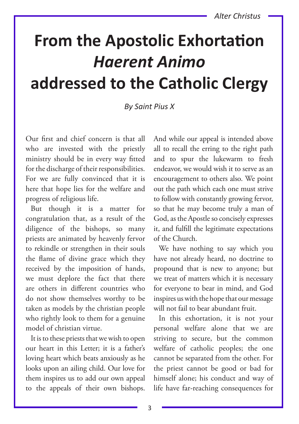# **From the Apostolic Exhortation**  *Haerent Animo* **addressed to the Catholic Clergy**

# *By Saint Pius X*

Our first and chief concern is that all who are invested with the priestly ministry should be in every way fitted for the discharge of their responsibilities. For we are fully convinced that it is here that hope lies for the welfare and progress of religious life.

But though it is a matter for congratulation that, as a result of the diligence of the bishops, so many priests are animated by heavenly fervor to rekindle or strengthen in their souls the flame of divine grace which they received by the imposition of hands, we must deplore the fact that there are others in different countries who do not show themselves worthy to be taken as models by the christian people who rightly look to them for a genuine model of christian virtue.

It is to these priests that we wish to open our heart in this Letter; it is a father's loving heart which beats anxiously as he looks upon an ailing child. Our love for them inspires us to add our own appeal to the appeals of their own bishops.

And while our appeal is intended above all to recall the erring to the right path and to spur the lukewarm to fresh endeavor, we would wish it to serve as an encouragement to others also. We point out the path which each one must strive to follow with constantly growing fervor, so that he may become truly a man of God, as the Apostle so concisely expresses it, and fulfill the legitimate expectations of the Church.

We have nothing to say which you have not already heard, no doctrine to propound that is new to anyone; but we treat of matters which it is necessary for everyone to bear in mind, and God inspires us with the hope that our message will not fail to bear abundant fruit.

In this exhortation, it is not your personal welfare alone that we are striving to secure, but the common welfare of catholic peoples; the one cannot be separated from the other. For the priest cannot be good or bad for himself alone; his conduct and way of life have far-reaching consequences for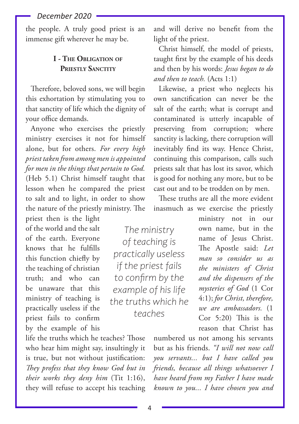the people. A truly good priest is an immense gift wherever he may be.

# **I - The Obligation of Priestly Sanctity**

Therefore, beloved sons, we will begin this exhortation by stimulating you to that sanctity of life which the dignity of your office demands.

Anyone who exercises the priestly ministry exercises it not for himself alone, but for others. *For every high priest taken from among men is appointed for men in the things that pertain to God.* (Heb 5.1) Christ himself taught that lesson when he compared the priest to salt and to light, in order to show the nature of the priestly ministry. The

priest then is the light of the world and the salt of the earth. Everyone knows that he fulfills this function chiefly by the teaching of christian truth; and who can be unaware that this ministry of teaching is practically useless if the priest fails to confirm by the example of his

life the truths which he teaches? Those who hear him might say, insultingly it is true, but not without justification: *They profess that they know God but in their works they deny him* (Tit 1:16), they will refuse to accept his teaching

and will derive no benefit from the light of the priest.

Christ himself, the model of priests, taught first by the example of his deeds and then by his words: *Jesus began to do and then to teach.* (Acts 1:1)

Likewise, a priest who neglects his own sanctification can never be the salt of the earth; what is corrupt and contaminated is utterly incapable of preserving from corruption; where sanctity is lacking, there corruption will inevitably find its way. Hence Christ, continuing this comparison, calls such priests salt that has lost its savor, which is good for nothing any more, but to be cast out and to be trodden on by men.

These truths are all the more evident inasmuch as we exercise the priestly

> ministry not in our own name, but in the name of Jesus Christ. The Apostle said: *Let man so consider us as the ministers of Christ and the dispensers of the mysteries of God* (1 Cor 4:1); *for Christ, therefore, we are ambassadors.* (1 Cor 5:20) This is the reason that Christ has

numbered us not among his servants but as his friends. *"I will not now call you servants... but I have called you friends, because all things whatsoever I have heard from my Father I have made known to you... I have chosen you and* 

4

*The ministry of teaching is practically useless if the priest fails to confirm by the example of his life the truths which he teaches*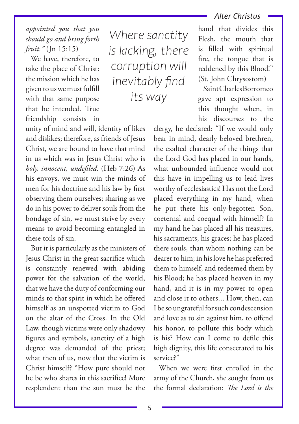*appointed you that you should go and bring forth fruit."* (Jn 15:15)

We have, therefore, to take the place of Christ: the mission which he has given to us we must fulfill with that same purpose that he intended. True friendship consists in

*Where sanctity is lacking, there corruption will inevitably find its way*

unity of mind and will, identity of likes and dislikes; therefore, as friends of Jesus Christ, we are bound to have that mind in us which was in Jesus Christ who is *holy, innocent, undefiled.* (Heb 7:26) As his envoys, we must win the minds of men for his doctrine and his law by first observing them ourselves; sharing as we do in his power to deliver souls from the bondage of sin, we must strive by every means to avoid becoming entangled in these toils of sin.

But it is particularly as the ministers of Jesus Christ in the great sacrifice which is constantly renewed with abiding power for the salvation of the world, that we have the duty of conforming our minds to that spirit in which he offered himself as an unspotted victim to God on the altar of the Cross. In the Old Law, though victims were only shadowy figures and symbols, sanctity of a high degree was demanded of the priest; what then of us, now that the victim is Christ himself? "How pure should not he be who shares in this sacrifice! More resplendent than the sun must be the

hand that divides this Flesh, the mouth that is filled with spiritual fire, the tongue that is reddened by this Blood!" (St. John Chrysostom)

Saint Charles Borromeo gave apt expression to this thought when, in his discourses to the

clergy, he declared: "If we would only bear in mind, dearly beloved brethren, the exalted character of the things that the Lord God has placed in our hands, what unbounded influence would not this have in impelling us to lead lives worthy of ecclesiastics! Has not the Lord placed everything in my hand, when he put there his only-begotten Son, coeternal and coequal with himself? In my hand he has placed all his treasures, his sacraments, his graces; he has placed there souls, than whom nothing can be dearer to him; in his love he has preferred them to himself, and redeemed them by his Blood; he has placed heaven in my hand, and it is in my power to open and close it to others... How, then, can I be so ungrateful for such condescension and love as to sin against him, to offend his honor, to pollute this body which is his? How can I come to defile this high dignity, this life consecrated to his service?"

When we were first enrolled in the army of the Church, she sought from us the formal declaration: *The Lord is the*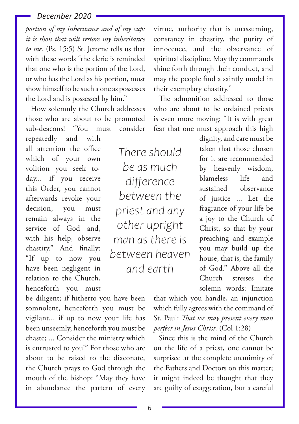*portion of my inheritance and of my cup: it is thou that wilt restore my inheritance to me.* (Ps. 15:5) St. Jerome tells us that with these words "the cleric is reminded that one who is the portion of the Lord, or who has the Lord as his portion, must show himself to be such a one as possesses the Lord and is possessed by him."

How solemnly the Church addresses those who are about to be promoted sub-deacons! "You must consider

repeatedly and with all attention the office which of your own volition you seek today... if you receive this Order, you cannot afterwards revoke your decision, you must remain always in the service of God and, with his help, observe chastity." And finally: "If up to now you have been negligent in relation to the Church, henceforth you must

be diligent; if hitherto you have been somnolent, henceforth you must be vigilant... if up to now your life has been unseemly, henceforth you must be chaste; ... Consider the ministry which is entrusted to you!" For those who are about to be raised to the diaconate, the Church prays to God through the mouth of the bishop: "May they have in abundance the pattern of every

virtue, authority that is unassuming, constancy in chastity, the purity of innocence, and the observance of spiritual discipline. May thy commands shine forth through their conduct, and may the people find a saintly model in their exemplary chastity."

The admonition addressed to those who are about to be ordained priests is even more moving: "It is with great fear that one must approach this high

*There should be as much difference between the priest and any other upright man as there is between heaven and earth*

dignity, and care must be taken that those chosen for it are recommended by heavenly wisdom, blameless life and sustained observance of justice ... Let the fragrance of your life be a joy to the Church of Christ, so that by your preaching and example you may build up the house, that is, the family of God." Above all the Church stresses the solemn words: Imitate

that which you handle, an injunction which fully agrees with the command of St. Paul: *That we may present every man perfect in Jesus Christ*. (Col 1:28)

Since this is the mind of the Church on the life of a priest, one cannot be surprised at the complete unanimity of the Fathers and Doctors on this matter; it might indeed be thought that they are guilty of exaggeration, but a careful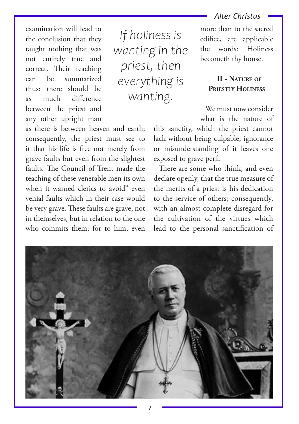examination will lead to the conclusion that they taught nothing that was not entirely true and correct. Their teaching can be summarized thus: there should be as much difference between the priest and any other upright man

*If holiness is wanting in the priest, then everything is wanting.*

as there is between heaven and earth; consequently, the priest must see to it that his life is free not merely from grave faults but even from the slightest faults. The Council of Trent made the teaching of these venerable men its own when it warned clerics to avoid" even venial faults which in their case would be very grave. These faults are grave, not in themselves, but in relation to the one who commits them; for to him, even more than to the sacred edifice, are applicable the words: Holiness becometh thy house.

# **II - Nature of Priestly Holiness**

We must now consider what is the nature of

this sanctity, which the priest cannot lack without being culpable; ignorance or misunderstanding of it leaves one exposed to grave peril.

There are some who think, and even declare openly, that the true measure of the merits of a priest is his dedication to the service of others; consequently, with an almost complete disregard for the cultivation of the virtues which lead to the personal sanctification of

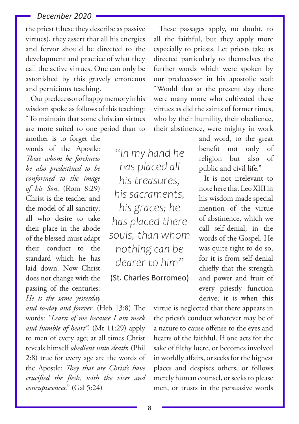the priest (these they describe as passive virtues), they assert that all his energies and fervor should be directed to the development and practice of what they call the active virtues. One can only be astonished by this gravely erroneous and pernicious teaching.

Our predecessor of happy memory in his wisdom spoke as follows of this teaching: "To maintain that some christian virtues are more suited to one period than to another is to forget the

words of the Apostle: *Those whom he foreknew he also predestined to be conformed to the image of his Son*. (Rom 8:29) Christ is the teacher and the model of all sanctity; all who desire to take their place in the abode of the blessed must adapt their conduct to the standard which he has laid down. Now Christ does not change with the passing of the centuries: *He is the same yesterday* 

*and to-day and forever*. (Heb 13:8) The words: *"Learn of me because I am meek and humble of heart"*, (Mt 11:29) apply to men of every age; at all times Christ reveals himself *obedient unto death*; (Phil 2:8) true for every age are the words of the Apostle: *They that are Christ's have crucified the flesh, with the vices and concupiscences*." (Gal 5:24)

These passages apply, no doubt, to all the faithful, but they apply more especially to priests. Let priests take as directed particularly to themselves the further words which were spoken by our predecessor in his apostolic zeal: "Would that at the present day there were many more who cultivated these virtues as did the saints of former times, who by their humility, their obedience, their abstinence, were mighty in work

> and word, to the great benefit not only of religion but also of public and civil life."

> It is not irrelevant to note here that Leo XIII in his wisdom made special mention of the virtue of abstinence, which we call self-denial, in the words of the Gospel. He was quite right to do so, for it is from self-denial chiefly that the strength and power and fruit of every priestly function derive; it is when this

virtue is neglected that there appears in the priest's conduct whatever may be of a nature to cause offense to the eyes and hearts of the faithful. If one acts for the sake of filthy lucre, or becomes involved in worldly affairs, or seeks for the highest places and despises others, or follows merely human counsel, or seeks to please men, or trusts in the persuasive words

8

*"In my hand he has placed all his treasures, his sacraments, his graces; he has placed there souls, than whom nothing can be dearer to him"*

(St. Charles Borromeo)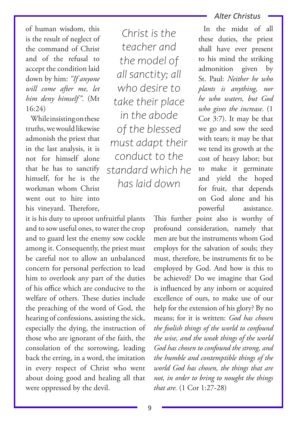of human wisdom, this is the result of neglect of the command of Christ and of the refusal to accept the condition laid down by him: *"If anyone will come after me, let him deny himself"*. (Mt 16:24)

While insisting on these truths, we would likewise admonish the priest that in the last analysis, it is not for himself alone that he has to sanctify himself, for he is the workman whom Christ went out to hire into his vineyard. Therefore,

it is his duty to uproot unfruitful plants and to sow useful ones, to water the crop and to guard lest the enemy sow cockle among it. Consequently, the priest must be careful not to allow an unbalanced concern for personal perfection to lead him to overlook any part of the duties of his office which are conducive to the welfare of others. These duties include the preaching of the word of God, the hearing of confessions, assisting the sick, especially the dying, the instruction of those who are ignorant of the faith, the consolation of the sorrowing, leading back the erring, in a word, the imitation in every respect of Christ who went about doing good and healing all that were oppressed by the devil.

*Christ is the teacher and the model of all sanctity; all who desire to take their place in the abode of the blessed must adapt their conduct to the standard which he has laid down*

#### *Alter Christus*

In the midst of all these duties, the priest shall have ever present to his mind the striking admonition given by St. Paul: *Neither he who plants is anything, nor he who waters, but God who gives the increase*. (1 Cor 3:7). It may be that we go and sow the seed with tears; it may be that we tend its growth at the cost of heavy labor; but to make it germinate and yield the hoped for fruit, that depends on God alone and his powerful assistance.

This further point also is worthy of profound consideration, namely that men are but the instruments whom God employs for the salvation of souls; they must, therefore, be instruments fit to be employed by God. And how is this to be achieved? Do we imagine that God is influenced by any inborn or acquired excellence of ours, to make use of our help for the extension of his glory? By no means; for it is written: *God has chosen the foolish things of the world to confound the wise, and the weak things of the world God has chosen to confound the strong, and the humble and contemptible things of the world God has chosen, the things that are not, in order to bring to nought the things that are.* (1 Cor 1:27-28)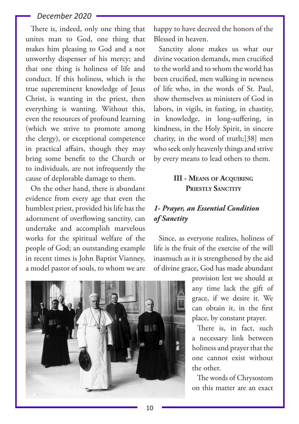There is, indeed, only one thing that unites man to God, one thing that makes him pleasing to God and a not unworthy dispenser of his mercy; and that one thing is holiness of life and conduct. If this holiness, which is the true supereminent knowledge of Jesus Christ, is wanting in the priest, then everything is wanting. Without this, even the resources of profound learning (which we strive to promote among the clergy), or exceptional competence in practical affairs, though they may bring some benefit to the Church or to individuals, are not infrequently the cause of deplorable damage to them.

On the other hand, there is abundant evidence from every age that even the humblest priest, provided his life has the adornment of overflowing sanctity, can undertake and accomplish marvelous works for the spiritual welfare of the people of God; an outstanding example in recent times is John Baptist Vianney, a model pastor of souls, to whom we are



happy to have decreed the honors of the Blessed in heaven.

Sanctity alone makes us what our divine vocation demands, men crucified to the world and to whom the world has been crucified, men walking in newness of life who, in the words of St. Paul, show themselves as ministers of God in labors, in vigils, in fasting, in chastity, in knowledge, in long-suffering, in kindness, in the Holy Spirit, in sincere charity, in the word of truth;[38] men who seek only heavenly things and strive by every means to lead others to them.

# **III - Means of Acquiring Priestly Sanctity**

# *1- Prayer, an Essential Condition of Sanctity*

Since, as everyone realizes, holiness of life is the fruit of the exercise of the will inasmuch as it is strengthened by the aid of divine grace, God has made abundant

> provision lest we should at any time lack the gift of grace, if we desire it. We can obtain it, in the first place, by constant prayer.

> There is, in fact, such a necessary link between holiness and prayer that the one cannot exist without the other.

> The words of Chrysostom on this matter are an exact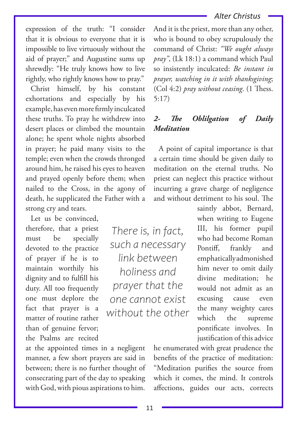expression of the truth: "I consider that it is obvious to everyone that it is impossible to live virtuously without the aid of prayer;" and Augustine sums up shrewdly: "He truly knows how to live rightly, who rightly knows how to pray."

Christ himself, by his constant exhortations and especially by his example, has even more firmly inculcated these truths. To pray he withdrew into desert places or climbed the mountain alone; he spent whole nights absorbed in prayer; he paid many visits to the temple; even when the crowds thronged around him, he raised his eyes to heaven and prayed openly before them; when nailed to the Cross, in the agony of death, he supplicated the Father with a strong cry and tears.

Let us be convinced. therefore, that a priest must be specially devoted to the practice of prayer if he is to maintain worthily his dignity and to fulfill his duty. All too frequently one must deplore the fact that prayer is a matter of routine rather than of genuine fervor; the Psalms are recited

at the appointed times in a negligent manner, a few short prayers are said in between; there is no further thought of consecrating part of the day to speaking with God, with pious aspirations to him.

*There is, in fact, such a necessary link between holiness and prayer that the one cannot exist without the other*

And it is the priest, more than any other, who is bound to obey scrupulously the command of Christ: *"We ought always pray"*, (Lk 18:1) a command which Paul so insistently inculcated: *Be instant in prayer, watching in it with thanksgiving*; (Col 4:2) *pray without ceasing*. (1 Thess. 5:17)

# *2- The Oblilgation of Daily Meditation*

A point of capital importance is that a certain time should be given daily to meditation on the eternal truths. No priest can neglect this practice without incurring a grave charge of negligence and without detriment to his soul. The

> saintly abbot, Bernard, when writing to Eugene III, his former pupil who had become Roman Pontiff, frankly and emphatically admonished him never to omit daily divine meditation; he would not admit as an excusing cause even the many weighty cares which the supreme pontificate involves. In justification of this advice

he enumerated with great prudence the benefits of the practice of meditation: "Meditation purifies the source from which it comes, the mind. It controls affections, guides our acts, corrects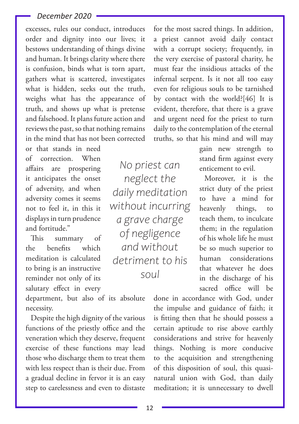excesses, rules our conduct, introduces order and dignity into our lives; it bestows understanding of things divine and human. It brings clarity where there is confusion, binds what is torn apart, gathers what is scattered, investigates what is hidden, seeks out the truth, weighs what has the appearance of truth, and shows up what is pretense and falsehood. It plans future action and reviews the past, so that nothing remains in the mind that has not been corrected

or that stands in need of correction. When affairs are prospering it anticipates the onset of adversity, and when adversity comes it seems not to feel it, in this it displays in turn prudence and fortitude."

This summary of the benefits which meditation is calculated to bring is an instructive reminder not only of its salutary effect in every

department, but also of its absolute necessity.

Despite the high dignity of the various functions of the priestly office and the veneration which they deserve, frequent exercise of these functions may lead those who discharge them to treat them with less respect than is their due. From a gradual decline in fervor it is an easy step to carelessness and even to distaste

*No priest can neglect the daily meditation without incurring a grave charge of negligence and without detriment to his soul*

for the most sacred things. In addition, a priest cannot avoid daily contact with a corrupt society; frequently, in the very exercise of pastoral charity, he must fear the insidious attacks of the infernal serpent. Is it not all too easy even for religious souls to be tarnished by contact with the world?[46] It is evident, therefore, that there is a grave and urgent need for the priest to turn daily to the contemplation of the eternal truths, so that his mind and will may

> gain new strength to stand firm against every enticement to evil.

Moreover, it is the strict duty of the priest to have a mind for heavenly things, to teach them, to inculcate them; in the regulation of his whole life he must be so much superior to human considerations that whatever he does in the discharge of his sacred office will be

done in accordance with God, under the impulse and guidance of faith; it is fitting then that he should possess a certain aptitude to rise above earthly considerations and strive for heavenly things. Nothing is more conducive to the acquisition and strengthening of this disposition of soul, this quasinatural union with God, than daily meditation; it is unnecessary to dwell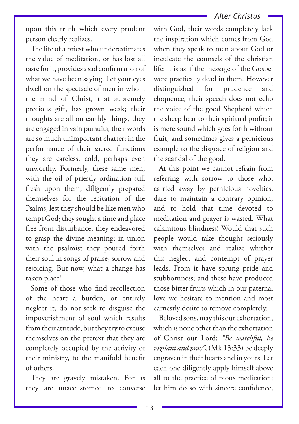upon this truth which every prudent person clearly realizes.

The life of a priest who underestimates the value of meditation, or has lost all taste for it, provides a sad confirmation of what we have been saying. Let your eyes dwell on the spectacle of men in whom the mind of Christ, that supremely precious gift, has grown weak; their thoughts are all on earthly things, they are engaged in vain pursuits, their words are so much unimportant chatter; in the performance of their sacred functions they are careless, cold, perhaps even unworthy. Formerly, these same men, with the oil of priestly ordination still fresh upon them, diligently prepared themselves for the recitation of the Psalms, lest they should be like men who tempt God; they sought a time and place free from disturbance; they endeavored to grasp the divine meaning; in union with the psalmist they poured forth their soul in songs of praise, sorrow and rejoicing. But now, what a change has taken place!

Some of those who find recollection of the heart a burden, or entirely neglect it, do not seek to disguise the impoverishment of soul which results from their attitude, but they try to excuse themselves on the pretext that they are completely occupied by the activity of their ministry, to the manifold benefit of others.

They are gravely mistaken. For as they are unaccustomed to converse with God, their words completely lack the inspiration which comes from God when they speak to men about God or inculcate the counsels of the christian life; it is as if the message of the Gospel were practically dead in them. However distinguished for prudence and eloquence, their speech does not echo the voice of the good Shepherd which the sheep hear to their spiritual profit; it is mere sound which goes forth without fruit, and sometimes gives a pernicious example to the disgrace of religion and the scandal of the good.

At this point we cannot refrain from referring with sorrow to those who, carried away by pernicious novelties, dare to maintain a contrary opinion, and to hold that time devoted to meditation and prayer is wasted. What calamitous blindness! Would that such people would take thought seriously with themselves and realize whither this neglect and contempt of prayer leads. From it have sprung pride and stubbornness; and these have produced those bitter fruits which in our paternal love we hesitate to mention and most earnestly desire to remove completely.

Beloved sons, may this our exhortation, which is none other than the exhortation of Christ our Lord: *"Be watchful, be vigilant and pray"*, (Mk 13:33) be deeply engraven in their hearts and in yours. Let each one diligently apply himself above all to the practice of pious meditation; let him do so with sincere confidence,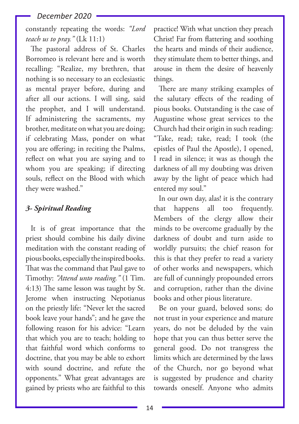constantly repeating the words: *"Lord teach us to pray."* (Lk 11:1)

The pastoral address of St. Charles Borromeo is relevant here and is worth recalling: "Realize, my brethren, that nothing is so necessary to an ecclesiastic as mental prayer before, during and after all our actions. I will sing, said the prophet, and I will understand. If administering the sacraments, my brother, meditate on what you are doing; if celebrating Mass, ponder on what you are offering; in reciting the Psalms, reflect on what you are saying and to whom you are speaking; if directing souls, reflect on the Blood with which they were washed."

# *3- Spiritual Reading*

It is of great importance that the priest should combine his daily divine meditation with the constant reading of pious books, especially the inspired books. That was the command that Paul gave to Timothy: *"Attend unto reading."* (1 Tim. 4:13) The same lesson was taught by St. Jerome when instructing Nepotianus on the priestly life: "Never let the sacred book leave your hands"; and he gave the following reason for his advice: "Learn that which you are to teach; holding to that faithful word which conforms to doctrine, that you may be able to exhort with sound doctrine, and refute the opponents." What great advantages are gained by priests who are faithful to this

practice! With what unction they preach Christ! Far from flattering and soothing the hearts and minds of their audience, they stimulate them to better things, and arouse in them the desire of heavenly things.

There are many striking examples of the salutary effects of the reading of pious books. Outstanding is the case of Augustine whose great services to the Church had their origin in such reading: "Take, read; take, read; I took (the epistles of Paul the Apostle), I opened, I read in silence; it was as though the darkness of all my doubting was driven away by the light of peace which had entered my soul."

In our own day, alas! it is the contrary that happens all too frequently. Members of the clergy allow their minds to be overcome gradually by the darkness of doubt and turn aside to worldly pursuits; the chief reason for this is that they prefer to read a variety of other works and newspapers, which are full of cunningly propounded errors and corruption, rather than the divine books and other pious literature.

Be on your guard, beloved sons; do not trust in your experience and mature years, do not be deluded by the vain hope that you can thus better serve the general good. Do not transgress the limits which are determined by the laws of the Church, nor go beyond what is suggested by prudence and charity towards oneself. Anyone who admits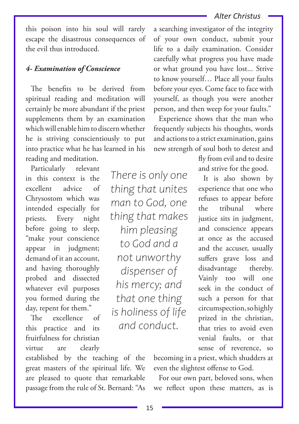this poison into his soul will rarely escape the disastrous consequences of the evil thus introduced.

#### *4- Examination of Conscience*

The benefits to be derived from spiritual reading and meditation will certainly be more abundant if the priest supplements them by an examination which will enable him to discern whether he is striving conscientiously to put into practice what he has learned in his reading and meditation.

Particularly relevant in this context is the excellent advice of Chrysostom which was intended especially for priests. Every night before going to sleep, "make your conscience appear in judgment; demand of it an account, and having thoroughly probed and dissected whatever evil purposes you formed during the day, repent for them."

The excellence of this practice and its fruitfulness for christian virtue are clearly

*There is only one thing that unites man to God, one thing that makes him pleasing to God and a not unworthy dispenser of his mercy; and that one thing is holiness of life and conduct.*

a searching investigator of the integrity of your own conduct, submit your life to a daily examination. Consider carefully what progress you have made or what ground you have lost... Strive to know yourself… Place all your faults before your eyes. Come face to face with yourself, as though you were another person, and then weep for your faults."

Experience shows that the man who frequently subjects his thoughts, words and actions to a strict examination, gains new strength of soul both to detest and

fly from evil and to desire and strive for the good.

It is also shown by experience that one who refuses to appear before the tribunal where justice sits in judgment, and conscience appears at once as the accused and the accuser, usually suffers grave loss and disadvantage thereby. Vainly too will one seek in the conduct of such a person for that circumspection, so highly prized in the christian, that tries to avoid even venial faults, or that sense of reverence, so

established by the teaching of the great masters of the spiritual life. We are pleased to quote that remarkable passage from the rule of St. Bernard: "As

becoming in a priest, which shudders at even the slightest offense to God.

For our own part, beloved sons, when we reflect upon these matters, as is